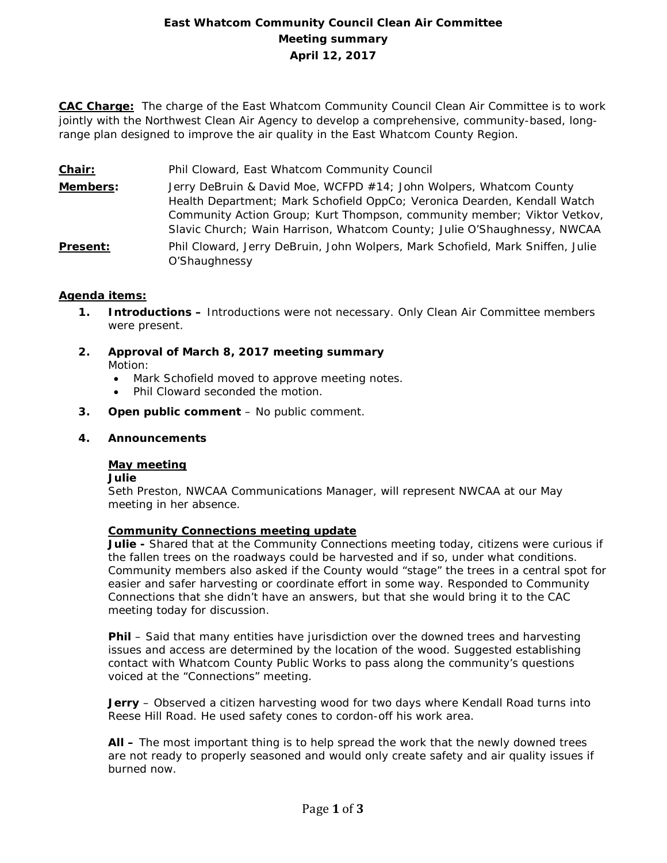# **East Whatcom Community Council Clean Air Committee Meeting summary April 12, 2017**

**CAC Charge:** The charge of the East Whatcom Community Council Clean Air Committee is to work jointly with the Northwest Clean Air Agency to develop a comprehensive, community-based, longrange plan designed to improve the air quality in the East Whatcom County Region.

- **Chair:** Phil Cloward, East Whatcom Community Council
- **Members:** Jerry DeBruin & David Moe, WCFPD #14; John Wolpers, Whatcom County Health Department; Mark Schofield OppCo; Veronica Dearden, Kendall Watch Community Action Group; Kurt Thompson, community member; Viktor Vetkov, Slavic Church; Wain Harrison, Whatcom County; Julie O'Shaughnessy, NWCAA
- **Present:** Phil Cloward, Jerry DeBruin, John Wolpers, Mark Schofield, Mark Sniffen, Julie O'Shaughnessy

## **Agenda items:**

- **1. Introductions –** Introductions were not necessary. Only Clean Air Committee members were present.
- **2. Approval of March 8, 2017 meeting summary** Motion:
	- Mark Schofield moved to approve meeting notes.
	- Phil Cloward seconded the motion.
- **3. Open public comment**  No public comment.

## **4. Announcements**

#### **May meeting**

#### **Julie**

Seth Preston, NWCAA Communications Manager, will represent NWCAA at our May meeting in her absence.

## **Community Connections meeting update**

**Julie -** Shared that at the Community Connections meeting today, citizens were curious if the fallen trees on the roadways could be harvested and if so, under what conditions. Community members also asked if the County would "stage" the trees in a central spot for easier and safer harvesting or coordinate effort in some way. Responded to Community Connections that she didn't have an answers, but that she would bring it to the CAC meeting today for discussion.

**Phil** – Said that many entities have jurisdiction over the downed trees and harvesting issues and access are determined by the location of the wood. Suggested establishing contact with Whatcom County Public Works to pass along the community's questions voiced at the "Connections" meeting.

**Jerry** – Observed a citizen harvesting wood for two days where Kendall Road turns into Reese Hill Road. He used safety cones to cordon-off his work area.

**All –** The most important thing is to help spread the work that the newly downed trees are not ready to properly seasoned and would only create safety and air quality issues if burned now.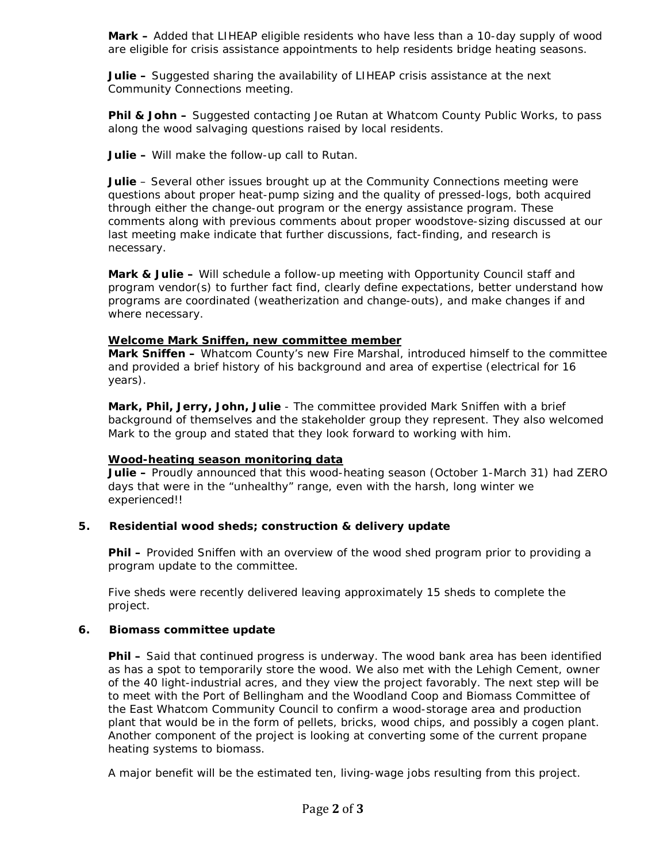**Mark –** Added that LIHEAP eligible residents who have less than a 10-day supply of wood are eligible for crisis assistance appointments to help residents bridge heating seasons.

**Julie –** Suggested sharing the availability of LIHEAP crisis assistance at the next Community Connections meeting.

**Phil & John –** Suggested contacting Joe Rutan at Whatcom County Public Works, to pass along the wood salvaging questions raised by local residents.

**Julie –** Will make the follow-up call to Rutan.

**Julie** – Several other issues brought up at the Community Connections meeting were questions about proper heat-pump sizing and the quality of pressed-logs, both acquired through either the change-out program or the energy assistance program. These comments along with previous comments about proper woodstove-sizing discussed at our last meeting make indicate that further discussions, fact-finding, and research is necessary.

**Mark & Julie –** Will schedule a follow-up meeting with Opportunity Council staff and program vendor(s) to further fact find, clearly define expectations, better understand how programs are coordinated (weatherization and change-outs), and make changes if and where necessary.

## **Welcome Mark Sniffen, new committee member**

**Mark Sniffen –** Whatcom County's new Fire Marshal, introduced himself to the committee and provided a brief history of his background and area of expertise (electrical for 16 years).

**Mark, Phil, Jerry, John, Julie** - The committee provided Mark Sniffen with a brief background of themselves and the stakeholder group they represent. They also welcomed Mark to the group and stated that they look forward to working with him.

## **Wood-heating season monitoring data**

**Julie –** Proudly announced that this wood-heating season (October 1-March 31) had ZERO days that were in the "unhealthy" range, even with the harsh, long winter we experienced!!

# **5. Residential wood sheds; construction & delivery update**

**Phil –** Provided Sniffen with an overview of the wood shed program prior to providing a program update to the committee.

Five sheds were recently delivered leaving approximately 15 sheds to complete the project.

# **6. Biomass committee update**

**Phil –** Said that continued progress is underway. The wood bank area has been identified as has a spot to temporarily store the wood. We also met with the Lehigh Cement, owner of the 40 light-industrial acres, and they view the project favorably. The next step will be to meet with the Port of Bellingham and the Woodland Coop and Biomass Committee of the East Whatcom Community Council to confirm a wood-storage area and production plant that would be in the form of pellets, bricks, wood chips, and possibly a cogen plant. Another component of the project is looking at converting some of the current propane heating systems to biomass.

A major benefit will be the estimated ten, living-wage jobs resulting from this project.